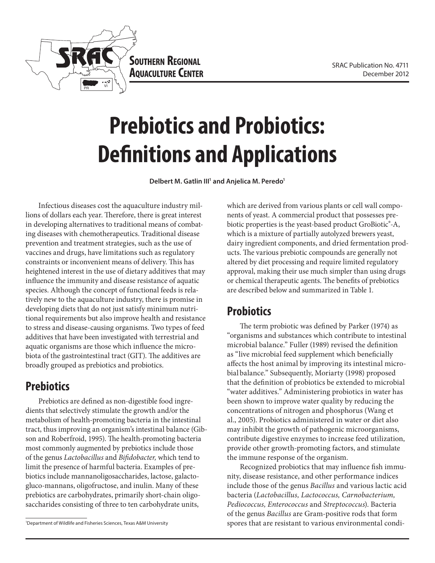



**Prebiotics and Probiotics: Definitions and Applications**

Delbert M. Gatlin III<sup>1</sup> and Anjelica M. Peredo<sup>1</sup>

Infectious diseases cost the aquaculture industry millions of dollars each year. Therefore, there is great interest in developing alternatives to traditional means of combating diseases with chemotherapeutics. Traditional disease prevention and treatment strategies, such as the use of vaccines and drugs, have limitations such as regulatory constraints or inconvenient means of delivery. This has heightened interest in the use of dietary additives that may influence the immunity and disease resistance of aquatic species. Although the concept of functional feeds is relatively new to the aquaculture industry, there is promise in developing diets that do not just satisfy minimum nutritional requirements but also improve health and resistance to stress and disease-causing organisms. Two types of feed additives that have been investigated with terrestrial and aquatic organisms are those which influence the microbiota of the gastrointestinal tract (GIT). The additives are broadly grouped as prebiotics and probiotics.

### **Prebiotics**

Prebiotics are defined as non-digestible food ingredients that selectively stimulate the growth and/or the metabolism of health-promoting bacteria in the intestinal tract, thus improving an organism's intestinal balance (Gibson and Roberfroid, 1995). The health-promoting bacteria most commonly augmented by prebiotics include those of the genus *Lactobacillus* and *Bifidobacter,* which tend to limit the presence of harmful bacteria. Examples of prebiotics include mannanoligosaccharides, lactose, galactogluco-mannans, oligofructose, and inulin. Many of these prebiotics are carbohydrates, primarily short-chain oligosaccharides consisting of three to ten carbohydrate units,

1 Department of Wildlife and Fisheries Sciences, Texas A&M University

which are derived from various plants or cell wall components of yeast. A commercial product that possesses prebiotic properties is the yeast-based product GroBiotic®-A, which is a mixture of partially autolyzed brewers yeast, dairy ingredient components, and dried fermentation products. The various prebiotic compounds are generally not altered by diet processing and require limited regulatory approval, making their use much simpler than using drugs or chemical therapeutic agents. The benefits of prebiotics are described below and summarized in Table 1.

### **Probiotics**

The term probiotic was defined by Parker (1974) as "organisms and substances which contribute to intestinal microbial balance." Fuller (1989) revised the definition as "live microbial feed supplement which beneficially affects the host animal by improving its intestinal microbial balance." Subsequently, Moriarty (1998) proposed that the definition of probiotics be extended to microbial "water additives." Administering probiotics in water has been shown to improve water quality by reducing the concentrations of nitrogen and phosphorus (Wang et al., 2005). Probiotics administered in water or diet also may inhibit the growth of pathogenic microorganisms, contribute digestive enzymes to increase feed utilization, provide other growth-promoting factors, and stimulate the immune response of the organism.

Recognized probiotics that may influence fish immunity, disease resistance, and other performance indices include those of the genus *Bacillus* and various lactic acid bacteria (*Lactobacillus, Lactococcus, Carnobacterium, Pediococcus, Enterococcus* and *Streptococcus*). Bacteria of the genus *Bacillus* are Gram-positive rods that form spores that are resistant to various environmental condi-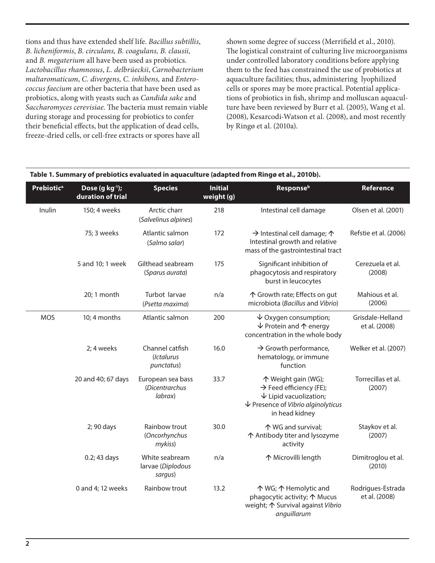tions and thus have extended shelf life. *Bacillus subtillis*, *B. licheniformis*, *B. circulans, B. coagulans, B. clausii,*  and *B. megaterium* all have been used as probiotics. *Lactobacillus rhamnosus*, *L. delbrüeckii*, *Carnobacterium maltaromaticum*, *C. divergens, C. inhibens,* and *Enterococcus faecium* are other bacteria that have been used as probiotics, along with yeasts such as *Candida sake* and *Saccharomyces cerevisiae*. The bacteria must remain viable during storage and processing for probiotics to confer their beneficial effects, but the application of dead cells, freeze-dried cells, or cell-free extracts or spores have all

shown some degree of success (Merrifield et al., 2010). The logistical constraint of culturing live microorganisms under controlled laboratory conditions before applying them to the feed has constrained the use of probiotics at aquaculture facilities; thus, administering lyophilized cells or spores may be more practical. Potential applications of probiotics in fish, shrimp and molluscan aquaculture have been reviewed by Burr et al. (2005), Wang et al. (2008), Kesarcodi-Watson et al. (2008), and most recently by Ringø et al. (2010a).

| Table 1. Summary of prebiotics evaluated in aquaculture (adapted from Ringø et al., 2010b). |                                        |                                                |                              |                                                                                                                                                                    |                                    |  |  |  |
|---------------------------------------------------------------------------------------------|----------------------------------------|------------------------------------------------|------------------------------|--------------------------------------------------------------------------------------------------------------------------------------------------------------------|------------------------------------|--|--|--|
| <b>Prebiotica</b>                                                                           | Dose $(g kg-1)$ ;<br>duration of trial | <b>Species</b>                                 | <b>Initial</b><br>weight (g) | Response <sup>b</sup>                                                                                                                                              | Reference                          |  |  |  |
| Inulin                                                                                      | 150; 4 weeks                           | Arctic charr<br>(Salvelinus alpines)           | 218                          | Intestinal cell damage                                                                                                                                             | Olsen et al. (2001)                |  |  |  |
|                                                                                             | 75; 3 weeks                            | Atlantic salmon<br>(Salmo salar)               | 172                          | $\rightarrow$ Intestinal cell damage; $\uparrow$<br>Intestinal growth and relative<br>mass of the gastrointestinal tract                                           | Refstie et al. (2006)              |  |  |  |
|                                                                                             | 5 and 10; 1 week                       | Gilthead seabream<br>(Sparus aurata)           | 175                          | Significant inhibition of<br>phagocytosis and respiratory<br>burst in leucocytes                                                                                   | Cerezuela et al.<br>(2008)         |  |  |  |
|                                                                                             | 20; 1 month                            | Turbot larvae<br>(Psetta maxima)               | n/a                          | ↑ Growth rate; Effects on gut<br>microbiota (Bacillus and Vibrio)                                                                                                  | Mahious et al.<br>(2006)           |  |  |  |
| <b>MOS</b>                                                                                  | 10; 4 months                           | Atlantic salmon                                | 200                          | $\downarrow$ Oxygen consumption;<br>$\sqrt{}$ Protein and $\uparrow$ energy<br>concentration in the whole body                                                     | Grisdale-Helland<br>et al. (2008)  |  |  |  |
|                                                                                             | 2; 4 weeks                             | Channel catfish<br>(Ictalurus<br>punctatus)    | 16.0                         | $\rightarrow$ Growth performance,<br>hematology, or immune<br>function                                                                                             | Welker et al. (2007)               |  |  |  |
|                                                                                             | 20 and 40; 67 days                     | European sea bass<br>(Dicentrarchus<br>labrax) | 33.7                         | 个 Weight gain (WG);<br>$\rightarrow$ Feed efficiency (FE);<br>$\downarrow$ Lipid vacuolization;<br>$\downarrow$ Presence of Vibrio alginolyticus<br>in head kidney | Torrecillas et al.<br>(2007)       |  |  |  |
|                                                                                             | 2; 90 days                             | Rainbow trout<br>(Oncorhynchus<br>mykiss)      | 30.0                         | 个 WG and survival;<br>↑ Antibody titer and lysozyme<br>activity                                                                                                    | Staykov et al.<br>(2007)           |  |  |  |
|                                                                                             | 0.2; 43 days                           | White seabream<br>larvae (Diplodous<br>sargus) | n/a                          | 个 Microvilli length                                                                                                                                                | Dimitroglou et al.<br>(2010)       |  |  |  |
|                                                                                             | 0 and 4; 12 weeks                      | Rainbow trout                                  | 13.2                         | 个 WG; 个 Hemolytic and<br>phagocytic activity; 个 Mucus<br>weight; 个 Survival against Vibrio<br>anguillarum                                                          | Rodrigues-Estrada<br>et al. (2008) |  |  |  |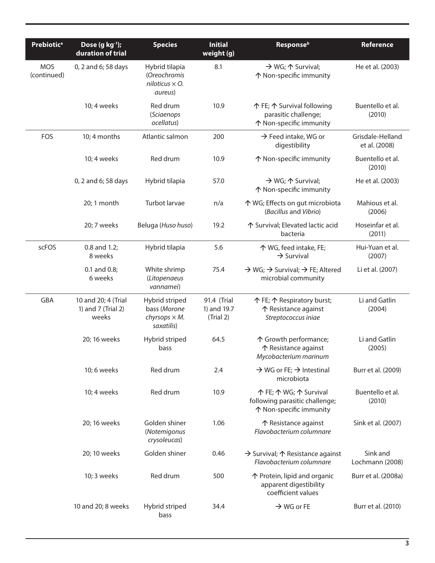| <b>Prebiotica</b>         | Dose $(g kg-1)$ ;<br>duration of trial             | <b>Species</b>                                                        | <b>Initial</b><br>weight (g)            | <b>Response</b> b                                                                          | <b>Reference</b>                  |
|---------------------------|----------------------------------------------------|-----------------------------------------------------------------------|-----------------------------------------|--------------------------------------------------------------------------------------------|-----------------------------------|
| <b>MOS</b><br>(continued) | 0, 2 and 6; 58 days                                | Hybrid tilapia<br>(Oreochromis<br>niloticus $\times$ O.<br>aureus)    | 8.1                                     | $\rightarrow$ WG; $\uparrow$ Survival;<br>↑ Non-specific immunity                          | He et al. (2003)                  |
|                           | 10; 4 weeks                                        | Red drum<br>(Sciaenops<br>ocellatus)                                  | 10.9                                    | 个 FE; 个 Survival following<br>parasitic challenge;<br>↑ Non-specific immunity              | Buentello et al.<br>(2010)        |
| FOS                       | 10; 4 months                                       | Atlantic salmon                                                       | 200                                     | $\rightarrow$ Feed intake, WG or<br>digestibility                                          | Grisdale-Helland<br>et al. (2008) |
|                           | 10; 4 weeks                                        | Red drum                                                              | 10.9                                    | ↑ Non-specific immunity                                                                    | Buentello et al.<br>(2010)        |
|                           | 0, 2 and 6; 58 days                                | Hybrid tilapia                                                        | 57.0                                    | $\rightarrow$ WG; $\uparrow$ Survival;<br>↑ Non-specific immunity                          | He et al. (2003)                  |
|                           | 20; 1 month                                        | Turbot larvae                                                         | n/a                                     | ↑ WG; Effects on gut microbiota<br>(Bacillus and Vibrio)                                   | Mahious et al.<br>(2006)          |
|                           | 20; 7 weeks                                        | Beluga (Huso huso)                                                    | 19.2                                    | ↑ Survival; Elevated lactic acid<br>bacteria                                               | Hoseinfar et al.<br>(2011)        |
| scFOS                     | 0.8 and 1.2;<br>8 weeks                            | Hybrid tilapia                                                        | 5.6                                     | 个 WG, feed intake, FE;<br>$\rightarrow$ Survival                                           | Hui-Yuan et al.<br>(2007)         |
|                           | 0.1 and 0.8;<br>6 weeks                            | White shrimp<br>(Litopenaeus<br>vannamei)                             | 75.4                                    | $\rightarrow$ WG; $\rightarrow$ Survival; $\rightarrow$ FE; Altered<br>microbial community | Li et al. (2007)                  |
| <b>GBA</b>                | 10 and 20; 4 (Trial<br>1) and 7 (Trial 2)<br>weeks | Hybrid striped<br>bass (Morone<br>chyrsops $\times M$ .<br>saxatilis) | 91.4 (Trial<br>1) and 19.7<br>(Trial 2) | 个 FE; 个 Respiratory burst;<br>个 Resistance against<br>Streptococcus iniae                  | Li and Gatlin<br>(2004)           |
|                           | 20; 16 weeks                                       | Hybrid striped<br>bass                                                | 64.5                                    | 个 Growth performance;<br>个 Resistance against<br>Mycobacterium marinum                     | Li and Gatlin<br>(2005)           |
|                           | 10; 6 weeks                                        | Red drum                                                              | 2.4                                     | $\rightarrow$ WG or FE; $\rightarrow$ Intestinal<br>microbiota                             | Burr et al. (2009)                |
|                           | 10; 4 weeks                                        | Red drum                                                              | 10.9                                    | 个 FE; 个 WG; 个 Survival<br>following parasitic challenge;<br>↑ Non-specific immunity        | Buentello et al.<br>(2010)        |
|                           | 20; 16 weeks                                       | Golden shiner<br>(Notemigonus<br>crysoleucas)                         | 1.06                                    | 个 Resistance against<br>Flavobacterium columnare                                           | Sink et al. (2007)                |
|                           | 20; 10 weeks                                       | Golden shiner                                                         | 0.46                                    | $\rightarrow$ Survival; $\uparrow$ Resistance against<br>Flavobacterium columnare          | Sink and<br>Lochmann (2008)       |
|                           | 10; 3 weeks                                        | Red drum                                                              | 500                                     | ↑ Protein, lipid and organic<br>apparent digestibility<br>coefficient values               | Burr et al. (2008a)               |
|                           | 10 and 20; 8 weeks                                 | Hybrid striped<br>bass                                                | 34.4                                    | $\rightarrow$ WG or FE                                                                     | Burr et al. (2010)                |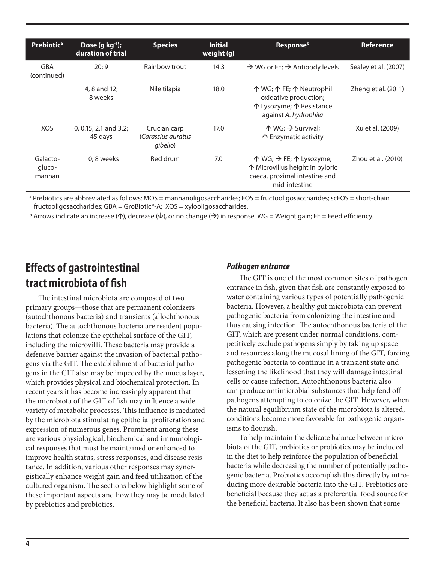| <b>Prebiotica</b>            | Dose $(g kg-1)$ ;<br>duration of trial | <b>Species</b>                                 | <b>Initial</b><br>weight (g) | <b>Response</b> b                                                                                                                          | Reference            |
|------------------------------|----------------------------------------|------------------------------------------------|------------------------------|--------------------------------------------------------------------------------------------------------------------------------------------|----------------------|
| GBA<br>(continued)           | 20:9                                   | Rainbow trout                                  | 14.3                         | $\rightarrow$ WG or FE; $\rightarrow$ Antibody levels                                                                                      | Sealey et al. (2007) |
|                              | 4, 8 and 12:<br>8 weeks                | Nile tilapia                                   | 18.0                         | 个 WG; 个 FE; 个 Neutrophil<br>oxidative production;<br>个 Lysozyme; 个 Resistance<br>against A. hydrophila                                     | Zheng et al. (2011)  |
| <b>XOS</b>                   | $0, 0.15, 2.1$ and 3.2;<br>45 days     | Crucian carp<br>(Carassius auratus<br>gibelio) | 17.0                         | $\uparrow$ WG; $\rightarrow$ Survival;<br>个 Enzymatic activity                                                                             | Xu et al. (2009)     |
| Galacto-<br>gluco-<br>mannan | 10; 8 weeks                            | Red drum                                       | 7.0                          | $\uparrow$ WG; $\rightarrow$ FE; $\uparrow$ Lysozyme;<br>↑ Microvillus height in pyloric<br>caeca, proximal intestine and<br>mid-intestine | Zhou et al. (2010)   |

a Prebiotics are abbreviated as follows: MOS = mannanoligosaccharides; FOS = fructooligosaccharides; scFOS = short-chain fructooligosaccharides; GBA = GroBiotic®-A; XOS = xylooligosaccharides.

**b** Arrows indicate an increase ( $\uparrow$ ), decrease ( $\downarrow$ ), or no change ( $\rightarrow$ ) in response. WG = Weight gain; FE = Feed efficiency.

## **Effects of gastrointestinal tract microbiota of fish**

The intestinal microbiota are composed of two primary groups—those that are permanent colonizers (autochthonous bacteria) and transients (allochthonous bacteria). The autochthonous bacteria are resident populations that colonize the epithelial surface of the GIT, including the microvilli. These bacteria may provide a defensive barrier against the invasion of bacterial pathogens via the GIT. The establishment of bacterial pathogens in the GIT also may be impeded by the mucus layer, which provides physical and biochemical protection. In recent years it has become increasingly apparent that the microbiota of the GIT of fish may influence a wide variety of metabolic processes. This influence is mediated by the microbiota stimulating epithelial proliferation and expression of numerous genes. Prominent among these are various physiological, biochemical and immunological responses that must be maintained or enhanced to improve health status, stress responses, and disease resistance. In addition, various other responses may synergistically enhance weight gain and feed utilization of the cultured organism. The sections below highlight some of these important aspects and how they may be modulated by prebiotics and probiotics.

#### *Pathogen entrance*

The GIT is one of the most common sites of pathogen entrance in fish, given that fish are constantly exposed to water containing various types of potentially pathogenic bacteria. However, a healthy gut microbiota can prevent pathogenic bacteria from colonizing the intestine and thus causing infection. The autochthonous bacteria of the GIT, which are present under normal conditions, competitively exclude pathogens simply by taking up space and resources along the mucosal lining of the GIT, forcing pathogenic bacteria to continue in a transient state and lessening the likelihood that they will damage intestinal cells or cause infection. Autochthonous bacteria also can produce antimicrobial substances that help fend off pathogens attempting to colonize the GIT. However, when the natural equilibrium state of the microbiota is altered, conditions become more favorable for pathogenic organisms to flourish.

To help maintain the delicate balance between microbiota of the GIT, prebiotics or probiotics may be included in the diet to help reinforce the population of beneficial bacteria while decreasing the number of potentially pathogenic bacteria. Probiotics accomplish this directly by introducing more desirable bacteria into the GIT. Prebiotics are beneficial because they act as a preferential food source for the beneficial bacteria. It also has been shown that some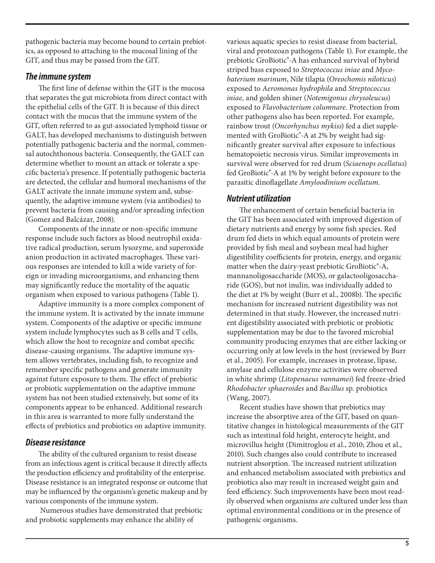pathogenic bacteria may become bound to certain prebiotics, as opposed to attaching to the mucosal lining of the GIT, and thus may be passed from the GIT.

#### *The immune system*

The first line of defense within the GIT is the mucosa that separates the gut microbiota from direct contact with the epithelial cells of the GIT. It is because of this direct contact with the mucus that the immune system of the GIT, often referred to as gut-associated lymphoid tissue or GALT, has developed mechanisms to distinguish between potentially pathogenic bacteria and the normal, commensal autochthonous bacteria. Consequently, the GALT can determine whether to mount an attack or tolerate a specific bacteria's presence. If potentially pathogenic bacteria are detected, the cellular and humoral mechanisms of the GALT activate the innate immune system and, subsequently, the adaptive immune system (via antibodies) to prevent bacteria from causing and/or spreading infection (Gomez and Balcázar, 2008).

Components of the innate or non-specific immune response include such factors as blood neutrophil oxidative radical production, serum lysozyme, and superoxide anion production in activated macrophages. These various responses are intended to kill a wide variety of foreign or invading microorganisms, and enhancing them may significantly reduce the mortality of the aquatic organism when exposed to various pathogens (Table 1).

Adaptive immunity is a more complex component of the immune system. It is activated by the innate immune system. Components of the adaptive or specific immune system include lymphocytes such as B cells and T cells, which allow the host to recognize and combat specific disease-causing organisms. The adaptive immune system allows vertebrates, including fish, to recognize and remember specific pathogens and generate immunity against future exposure to them. The effect of prebiotic or probiotic supplementation on the adaptive immune system has not been studied extensively, but some of its components appear to be enhanced. Additional research in this area is warranted to more fully understand the effects of prebiotics and probiotics on adaptive immunity.

#### *Disease resistance*

The ability of the cultured organism to resist disease from an infectious agent is critical because it directly affects the production efficiency and profitability of the enterprise. Disease resistance is an integrated response or outcome that may be influenced by the organism's genetic makeup and by various components of the immune system.

 Numerous studies have demonstrated that prebiotic and probiotic supplements may enhance the ability of

various aquatic species to resist disease from bacterial, viral and protozoan pathogens (Table 1). For example, the prebiotic GroBiotic®-A has enhanced survival of hybrid striped bass exposed to *Streptococcus iniae* and *Mycobaterium marinum*, Nile tilapia (*Oreochomis niloticus*) exposed to *Aeromonas hydrophila* and *Streptococcus iniae,* and golden shiner (*Notemigonus chrysoleucus*) exposed to *Flavobacterium columnare*. Protection from other pathogens also has been reported. For example, rainbow trout (*Oncorhynchus mykiss*) fed a diet supplemented with GroBiotic®-A at 2% by weight had significantly greater survival after exposure to infectious hematopoietic necrosis virus. Similar improvements in survival were observed for red drum (*Sciaenops ocellatus*) fed GroBiotic®-A at 1% by weight before exposure to the parasitic dinoflagellate *Amyloodinium ocellatum*.

#### *Nutrient utilization*

The enhancement of certain beneficial bacteria in the GIT has been associated with improved digestion of dietary nutrients and energy by some fish species. Red drum fed diets in which equal amounts of protein were provided by fish meal and soybean meal had higher digestibility coefficients for protein, energy, and organic matter when the dairy-yeast prebiotic GroBiotic®-A, mannanoligosaccharide (MOS), or galactooligosaccharide (GOS), but not inulin, was individually added to the diet at 1% by weight (Burr et al., 2008b). The specific mechanism for increased nutrient digestibility was not determined in that study. However, the increased nutrient digestibility associated with prebiotic or probiotic supplementation may be due to the favored microbial community producing enzymes that are either lacking or occurring only at low levels in the host (reviewed by Burr et al., 2005). For example, increases in protease, lipase, amylase and cellulose enzyme activities were observed in white shrimp (*Litopenaeus vannamei*) fed freeze-dried *Rhodobacter sphaeroides* and *Bacillus* sp. probiotics (Wang, 2007).

Recent studies have shown that prebiotics may increase the absorptive area of the GIT, based on quantitative changes in histological measurements of the GIT such as intestinal fold height, enterocyte height, and microvillus height (Dimitroglou et al., 2010; Zhou et al., 2010). Such changes also could contribute to increased nutrient absorption. The increased nutrient utilization and enhanced metabolism associated with prebiotics and probiotics also may result in increased weight gain and feed efficiency. Such improvements have been most readily observed when organisms are cultured under less than optimal environmental conditions or in the presence of pathogenic organisms.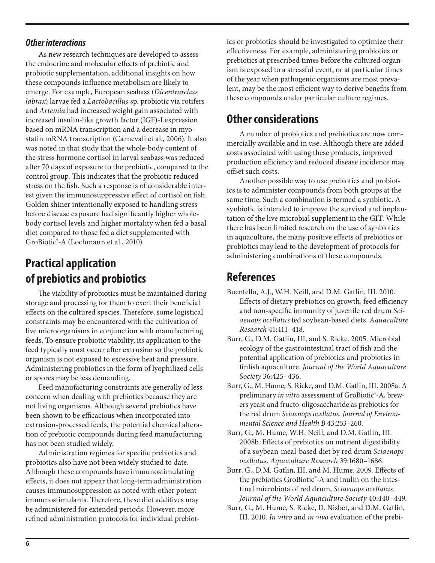#### *Other interactions*

As new research techniques are developed to assess the endocrine and molecular effects of prebiotic and probiotic supplementation, additional insights on how these compounds influence metabolism are likely to emerge. For example, European seabass (*Dicentrarchus labrax*) larvae fed a *Lactobacillus* sp. probiotic via rotifers and *Artemia* had increased weight gain associated with increased insulin-like growth factor (IGF)-I expression based on mRNA transcription and a decrease in myostatin mRNA transcription (Carnevali et al., 2006). It also was noted in that study that the whole-body content of the stress hormone cortisol in larval seabass was reduced after 70 days of exposure to the probiotic, compared to the control group. This indicates that the probiotic reduced stress on the fish. Such a response is of considerable interest given the immunosuppressive effect of cortisol on fish. Golden shiner intentionally exposed to handling stress before disease exposure had significantly higher wholebody cortisol levels and higher mortality when fed a basal diet compared to those fed a diet supplemented with GroBiotic®-A (Lochmann et al., 2010).

## **Practical application of prebiotics and probiotics**

The viability of probiotics must be maintained during storage and processing for them to exert their beneficial effects on the cultured species. Therefore, some logistical constraints may be encountered with the cultivation of live microorganisms in conjunction with manufacturing feeds. To ensure probiotic viability, its application to the feed typically must occur after extrusion so the probiotic organism is not exposed to excessive heat and pressure. Administering probiotics in the form of lyophilized cells or spores may be less demanding.

Feed manufacturing constraints are generally of less concern when dealing with prebiotics because they are not living organisms. Although several prebiotics have been shown to be efficacious when incorporated into extrusion-processed feeds, the potential chemical alteration of prebiotic compounds during feed manufacturing has not been studied widely.

Administration regimes for specific prebiotics and probiotics also have not been widely studied to date. Although these compounds have immunostimulating effects, it does not appear that long-term administration causes immunosuppression as noted with other potent immunostimulants. Therefore, these diet additives may be administered for extended periods. However, more refined administration protocols for individual prebiotics or probiotics should be investigated to optimize their effectiveness. For example, administering probiotics or prebiotics at prescribed times before the cultured organism is exposed to a stressful event, or at particular times of the year when pathogenic organisms are most prevalent, may be the most efficient way to derive benefits from these compounds under particular culture regimes.

### **Other considerations**

A number of probiotics and prebiotics are now commercially available and in use. Although there are added costs associated with using these products, improved production efficiency and reduced disease incidence may offset such costs.

Another possible way to use prebiotics and probiotics is to administer compounds from both groups at the same time. Such a combination is termed a synbiotic. A synbiotic is intended to improve the survival and implantation of the live microbial supplement in the GIT. While there has been limited research on the use of synbiotics in aquaculture, the many positive effects of prebiotics or probiotics may lead to the development of protocols for administering combinations of these compounds.

# **References**

- Buentello, A.J., W.H. Neill, and D.M. Gatlin, III. 2010. Effects of dietary prebiotics on growth, feed efficiency and non-specific immunity of juvenile red drum *Sciaenops ocellatus* fed soybean-based diets. *Aquaculture Research* 41:411–418.
- Burr, G., D.M. Gatlin, III, and S. Ricke. 2005. Microbial ecology of the gastrointestinal tract of fish and the potential application of prebiotics and probiotics in finfish aquaculture. *Journal of the World Aquaculture Society* 36:425–436.
- Burr, G., M. Hume, S. Ricke, and D.M. Gatlin, III. 2008a. A preliminary *in vitro* assessment of GroBiotic®-A, brewers yeast and fructo-oligosaccharide as prebiotics for the red drum *Sciaenops ocellatus*. *Journal of Environmental Science and Health B* 43:253–260.
- Burr, G., M. Hume, W.H. Neill, and D.M. Gatlin, III. 2008b. Effects of prebiotics on nutrient digestibility of a soybean-meal-based diet by red drum *Sciaenops ocellatus*. *Aquaculture Research* 39:1680–1686.
- Burr, G., D.M. Gatlin, III, and M. Hume. 2009. Effects of the prebiotics GroBiotic®-A and inulin on the intestinal microbiota of red drum, *Sciaenops ocellatus*. *Journal of the World Aquaculture Society* 40:440–449.
- Burr, G., M. Hume, S. Ricke, D. Nisbet, and D.M. Gatlin, III. 2010. *In vitro* and *in vivo* evaluation of the prebi-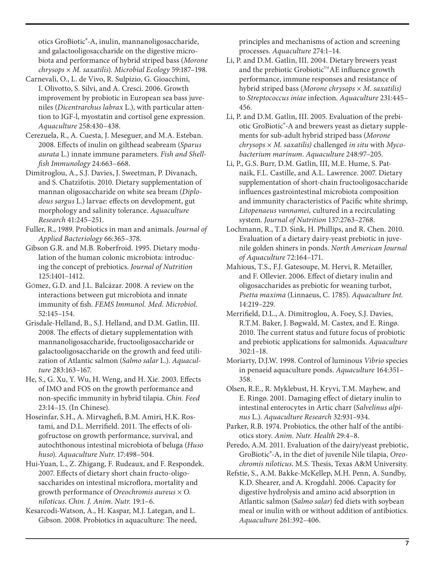otics GroBiotic®-A, inulin, mannanoligosaccharide, and galactooligosaccharide on the digestive microbiota and performance of hybrid striped bass (*Morone chrysops* × *M. saxatilis*). *Microbial Ecology* 59:187–198.

- Carnevali, O., L. de Vivo, R. Sulpizio, G. Gioacchini, I. Olivotto, S. Silvi, and A. Cresci. 2006. Growth improvement by probiotic in European sea bass juveniles (*Dicentrarchus labrax* L.), with particular attention to IGF-l, myostatin and cortisol gene expression. *Aquaculture* 258:430–438.
- Cerezuela, R., A. Cuesta, J. Meseguer, and M.A. Esteban. 2008. Effects of inulin on gilthead seabream (*Sparus aurata* L.) innate immune parameters. *Fish and Shellfish Immunology* 24:663–668.
- Dimitroglou, A., S.J. Davies, J. Sweetman, P. Divanach, and S. Chatzifotis. 2010. Dietary supplementation of mannan oligosaccharide on white sea bream (*Diplodous sargus* L.) larvae: effects on development, gut morphology and salinity tolerance. *Aquaculture Research* 41:245–251.
- Fuller, R., 1989. Probiotics in man and animals. *Journal of Applied Bacteriology* 66:365–378.
- Gibson G.R. and M.B. Roberfroid. 1995. Dietary modulation of the human colonic microbiota: introducing the concept of prebiotics. *Journal of Nutrition* 125:1401–1412.
- GÓmez, G.D. and J.L. Balcázar. 2008. A review on the interactions between gut microbiota and innate immunity of fish. *FEMS Immunol. Med. Microbiol*. 52:145–154.
- Grisdale-Helland, B., S.J. Helland, and D.M. Gatlin, III. 2008. The effects of dietary supplementation with mannanoligosaccharide, fructooligosaccharide or galactooligosaccharide on the growth and feed utilization of Atlantic salmon (*Salmo salar* L.). *Aquaculture* 283:163–167.
- He, S., G. Xu, Y. Wu, H. Weng, and H. Xie. 2003. Effects of IMO and FOS on the growth performance and non-specific immunity in hybrid tilapia. *Chin. Feed* 23:14–15. (In Chinese).
- Hoseinfar, S.H., A. Mirvaghefi, B.M. Amiri, H.K. Rostami, and D.L. Merrifield. 2011. The effects of oligofructose on growth performance, survival, and autochthonous intestinal microbiota of beluga (*Huso huso*). *Aquaculture Nutr*. 17:498–504.
- Hui-Yuan, L., Z. Zhigang, F. Rudeaux, and F. Respondek. 2007. Effects of dietary short chain fructo-oligosaccharides on intestinal microflora, mortality and growth performance of *Oreochromis aureus* × *O. niloticus*. *Chin. J. Anim. Nutr.* 19:1–6.
- Kesarcodi-Watson, A., H. Kaspar, M.J. Lategan, and L. Gibson. 2008. Probiotics in aquaculture: The need,

principles and mechanisms of action and screening processes. *Aquaculture* 274:1–14.

- Li, P. and D.M. Gatlin, III. 2004. Dietary brewers yeast and the prebiotic Grobiotic™AE influence growth performance, immune responses and resistance of hybrid striped bass (*Morone chrysops* × *M. saxatilis)* to *Streptococcus iniae* infection. *Aquaculture* 231:445– 456.
- Li, P. and D.M. Gatlin, III. 2005. Evaluation of the prebiotic GroBiotic®-A and brewers yeast as dietary supplements for sub-adult hybrid striped bass (*Morone chrysops × M. saxatilis)* challenged *in situ* with *Mycobacterium marinum*. *Aquaculture* 248:97–205.
- Li, P., G.S. Burr, D.M. Gatlin, III, M.E. Hume, S. Patnaik, F.L. Castille, and A.L. Lawrence. 2007. Dietary supplementation of short-chain fructooligosaccharide influences gastrointestinal microbiota composition and immunity characteristics of Pacific white shrimp, *Litopenaeus vannamei,* cultured in a recirculating system. *Journal of Nutrition* 137:2763–2768.
- Lochmann, R., T.D. Sink, H. Phillips, and R. Chen. 2010. Evaluation of a dietary dairy-yeast prebiotic in juvenile golden shiners in ponds. *North American Journal of Aquaculture* 72:164–171.
- Mahious, T.S., F.J. Gatesoupe, M. Hervi, R. Metailler, and F. Ollevier. 2006. Effect of dietary inulin and oligosaccharides as prebiotic for weaning turbot, *Psetta maxima* (Linnaeus, C. 1785). *Aquaculture Int.* 14:219–229.
- Merrifield, D.L., A. Dimitroglou, A. Foey, S.J. Davies, R.T.M. Baker, J. Bøgwald, M. Castex, and E. Ringø. 2010. The current status and future focus of probiotic and prebiotic applications for salmonids. *Aquaculture* 302:1–18.
- Moriarty, D.J.W. 1998. Control of luminous *Vibrio* species in penaeid aquaculture ponds. *Aquaculture* 164:351– 358.
- Olsen, R.E., R. Myklebust, H. Kryvi, T.M. Mayhew, and E. Ringø. 2001. Damaging effect of dietary inulin to intestinal enterocytes in Artic charr (*Salvelinus alpinus* L.). *Aquaculture Research* 32:931–934.
- Parker, R.B. 1974. Probiotics, the other half of the antibiotics story. *Anim. Nutr. Health* 29:4–8.
- Peredo, A.M. 2011. Evaluation of the dairy/yeast prebiotic, GroBiotic®-A, in the diet of juvenile Nile tilapia, *Oreochromis niloticus*. M.S. Thesis, Texas A&M University.
- Refstie, S., A.M. Bakke-McKellep, M.H. Penn, A. Sundby, K.D. Shearer, and A. Krogdahl. 2006. Capacity for digestive hydrolysis and amino acid absorption in Atlantic salmon (*Salmo salar*) fed diets with soybean meal or inulin with or without addition of antibiotics. *Aquaculture* 261:392–406.